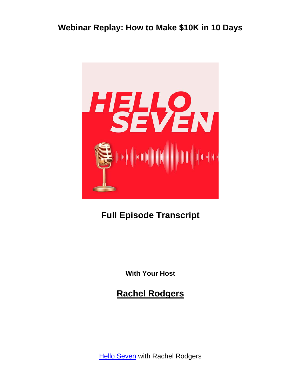

# **Full Episode Transcript**

**With Your Host**

**Rachel Rodgers**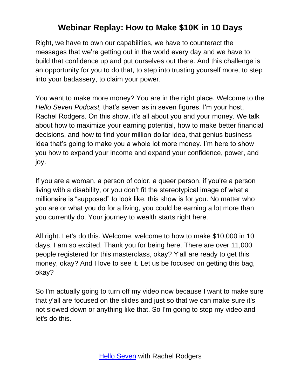Right, we have to own our capabilities, we have to counteract the messages that we're getting out in the world every day and we have to build that confidence up and put ourselves out there. And this challenge is an opportunity for you to do that, to step into trusting yourself more, to step into your badassery, to claim your power.

You want to make more money? You are in the right place. Welcome to the *Hello Seven Podcast,* that's seven as in seven figures. I'm your host, Rachel Rodgers. On this show, it's all about you and your money. We talk about how to maximize your earning potential, how to make better financial decisions, and how to find your million-dollar idea, that genius business idea that's going to make you a whole lot more money. I'm here to show you how to expand your income and expand your confidence, power, and joy.

If you are a woman, a person of color, a queer person, if you're a person living with a disability, or you don't fit the stereotypical image of what a millionaire is "supposed" to look like, this show is for you. No matter who you are or what you do for a living, you could be earning a lot more than you currently do. Your journey to wealth starts right here.

All right. Let's do this. Welcome, welcome to how to make \$10,000 in 10 days. I am so excited. Thank you for being here. There are over 11,000 people registered for this masterclass, okay? Y'all are ready to get this money, okay? And I love to see it. Let us be focused on getting this bag, okay?

So I'm actually going to turn off my video now because I want to make sure that y'all are focused on the slides and just so that we can make sure it's not slowed down or anything like that. So I'm going to stop my video and let's do this.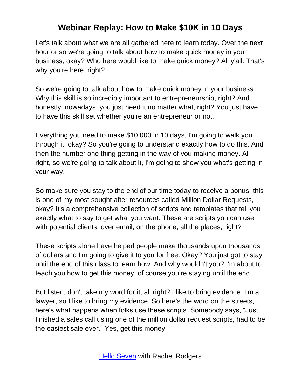Let's talk about what we are all gathered here to learn today. Over the next hour or so we're going to talk about how to make quick money in your business, okay? Who here would like to make quick money? All y'all. That's why you're here, right?

So we're going to talk about how to make quick money in your business. Why this skill is so incredibly important to entrepreneurship, right? And honestly, nowadays, you just need it no matter what, right? You just have to have this skill set whether you're an entrepreneur or not.

Everything you need to make \$10,000 in 10 days, I'm going to walk you through it, okay? So you're going to understand exactly how to do this. And then the number one thing getting in the way of you making money. All right, so we're going to talk about it, I'm going to show you what's getting in your way.

So make sure you stay to the end of our time today to receive a bonus, this is one of my most sought after resources called Million Dollar Requests, okay? It's a comprehensive collection of scripts and templates that tell you exactly what to say to get what you want. These are scripts you can use with potential clients, over email, on the phone, all the places, right?

These scripts alone have helped people make thousands upon thousands of dollars and I'm going to give it to you for free. Okay? You just got to stay until the end of this class to learn how. And why wouldn't you? I'm about to teach you how to get this money, of course you're staying until the end.

But listen, don't take my word for it, all right? I like to bring evidence. I'm a lawyer, so I like to bring my evidence. So here's the word on the streets, here's what happens when folks use these scripts. Somebody says, "Just finished a sales call using one of the million dollar request scripts, had to be the easiest sale ever." Yes, get this money.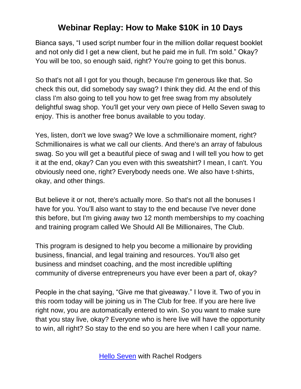Bianca says, "I used script number four in the million dollar request booklet and not only did I get a new client, but he paid me in full. I'm sold." Okay? You will be too, so enough said, right? You're going to get this bonus.

So that's not all I got for you though, because I'm generous like that. So check this out, did somebody say swag? I think they did. At the end of this class I'm also going to tell you how to get free swag from my absolutely delightful swag shop. You'll get your very own piece of Hello Seven swag to enjoy. This is another free bonus available to you today.

Yes, listen, don't we love swag? We love a schmillionaire moment, right? Schmillionaires is what we call our clients. And there's an array of fabulous swag. So you will get a beautiful piece of swag and I will tell you how to get it at the end, okay? Can you even with this sweatshirt? I mean, I can't. You obviously need one, right? Everybody needs one. We also have t-shirts, okay, and other things.

But believe it or not, there's actually more. So that's not all the bonuses I have for you. You'll also want to stay to the end because I've never done this before, but I'm giving away two 12 month memberships to my coaching and training program called We Should All Be Millionaires, The Club.

This program is designed to help you become a millionaire by providing business, financial, and legal training and resources. You'll also get business and mindset coaching, and the most incredible uplifting community of diverse entrepreneurs you have ever been a part of, okay?

People in the chat saying, "Give me that giveaway." I love it. Two of you in this room today will be joining us in The Club for free. If you are here live right now, you are automatically entered to win. So you want to make sure that you stay live, okay? Everyone who is here live will have the opportunity to win, all right? So stay to the end so you are here when I call your name.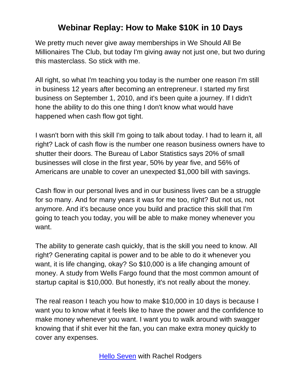We pretty much never give away memberships in We Should All Be Millionaires The Club, but today I'm giving away not just one, but two during this masterclass. So stick with me.

All right, so what I'm teaching you today is the number one reason I'm still in business 12 years after becoming an entrepreneur. I started my first business on September 1, 2010, and it's been quite a journey. If I didn't hone the ability to do this one thing I don't know what would have happened when cash flow got tight.

I wasn't born with this skill I'm going to talk about today. I had to learn it, all right? Lack of cash flow is the number one reason business owners have to shutter their doors. The Bureau of Labor Statistics says 20% of small businesses will close in the first year, 50% by year five, and 56% of Americans are unable to cover an unexpected \$1,000 bill with savings.

Cash flow in our personal lives and in our business lives can be a struggle for so many. And for many years it was for me too, right? But not us, not anymore. And it's because once you build and practice this skill that I'm going to teach you today, you will be able to make money whenever you want.

The ability to generate cash quickly, that is the skill you need to know. All right? Generating capital is power and to be able to do it whenever you want, it is life changing, okay? So \$10,000 is a life changing amount of money. A study from Wells Fargo found that the most common amount of startup capital is \$10,000. But honestly, it's not really about the money.

The real reason I teach you how to make \$10,000 in 10 days is because I want you to know what it feels like to have the power and the confidence to make money whenever you want. I want you to walk around with swagger knowing that if shit ever hit the fan, you can make extra money quickly to cover any expenses.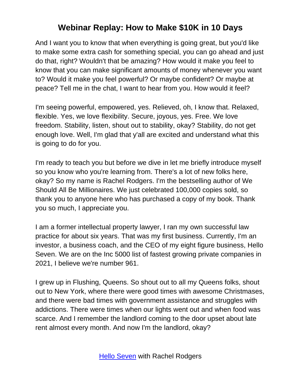And I want you to know that when everything is going great, but you'd like to make some extra cash for something special, you can go ahead and just do that, right? Wouldn't that be amazing? How would it make you feel to know that you can make significant amounts of money whenever you want to? Would it make you feel powerful? Or maybe confident? Or maybe at peace? Tell me in the chat, I want to hear from you. How would it feel?

I'm seeing powerful, empowered, yes. Relieved, oh, I know that. Relaxed, flexible. Yes, we love flexibility. Secure, joyous, yes. Free. We love freedom. Stability, listen, shout out to stability, okay? Stability, do not get enough love. Well, I'm glad that y'all are excited and understand what this is going to do for you.

I'm ready to teach you but before we dive in let me briefly introduce myself so you know who you're learning from. There's a lot of new folks here, okay? So my name is Rachel Rodgers. I'm the bestselling author of We Should All Be Millionaires. We just celebrated 100,000 copies sold, so thank you to anyone here who has purchased a copy of my book. Thank you so much, I appreciate you.

I am a former intellectual property lawyer, I ran my own successful law practice for about six years. That was my first business. Currently, I'm an investor, a business coach, and the CEO of my eight figure business, Hello Seven. We are on the Inc 5000 list of fastest growing private companies in 2021, I believe we're number 961.

I grew up in Flushing, Queens. So shout out to all my Queens folks, shout out to New York, where there were good times with awesome Christmases, and there were bad times with government assistance and struggles with addictions. There were times when our lights went out and when food was scarce. And I remember the landlord coming to the door upset about late rent almost every month. And now I'm the landlord, okay?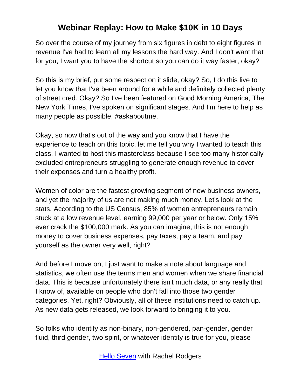So over the course of my journey from six figures in debt to eight figures in revenue I've had to learn all my lessons the hard way. And I don't want that for you, I want you to have the shortcut so you can do it way faster, okay?

So this is my brief, put some respect on it slide, okay? So, I do this live to let you know that I've been around for a while and definitely collected plenty of street cred. Okay? So I've been featured on Good Morning America, The New York Times, I've spoken on significant stages. And I'm here to help as many people as possible, #askaboutme.

Okay, so now that's out of the way and you know that I have the experience to teach on this topic, let me tell you why I wanted to teach this class. I wanted to host this masterclass because I see too many historically excluded entrepreneurs struggling to generate enough revenue to cover their expenses and turn a healthy profit.

Women of color are the fastest growing segment of new business owners, and yet the majority of us are not making much money. Let's look at the stats. According to the US Census, 85% of women entrepreneurs remain stuck at a low revenue level, earning 99,000 per year or below. Only 15% ever crack the \$100,000 mark. As you can imagine, this is not enough money to cover business expenses, pay taxes, pay a team, and pay yourself as the owner very well, right?

And before I move on, I just want to make a note about language and statistics, we often use the terms men and women when we share financial data. This is because unfortunately there isn't much data, or any really that I know of, available on people who don't fall into those two gender categories. Yet, right? Obviously, all of these institutions need to catch up. As new data gets released, we look forward to bringing it to you.

So folks who identify as non-binary, non-gendered, pan-gender, gender fluid, third gender, two spirit, or whatever identity is true for you, please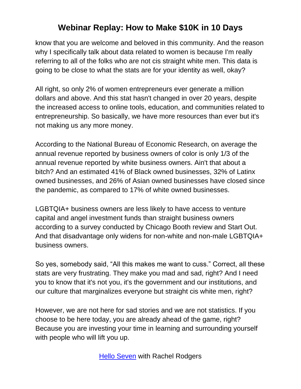know that you are welcome and beloved in this community. And the reason why I specifically talk about data related to women is because I'm really referring to all of the folks who are not cis straight white men. This data is going to be close to what the stats are for your identity as well, okay?

All right, so only 2% of women entrepreneurs ever generate a million dollars and above. And this stat hasn't changed in over 20 years, despite the increased access to online tools, education, and communities related to entrepreneurship. So basically, we have more resources than ever but it's not making us any more money.

According to the National Bureau of Economic Research, on average the annual revenue reported by business owners of color is only 1/3 of the annual revenue reported by white business owners. Ain't that about a bitch? And an estimated 41% of Black owned businesses, 32% of Latinx owned businesses, and 26% of Asian owned businesses have closed since the pandemic, as compared to 17% of white owned businesses.

LGBTQIA+ business owners are less likely to have access to venture capital and angel investment funds than straight business owners according to a survey conducted by Chicago Booth review and Start Out. And that disadvantage only widens for non-white and non-male LGBTQIA+ business owners.

So yes, somebody said, "All this makes me want to cuss." Correct, all these stats are very frustrating. They make you mad and sad, right? And I need you to know that it's not you, it's the government and our institutions, and our culture that marginalizes everyone but straight cis white men, right?

However, we are not here for sad stories and we are not statistics. If you choose to be here today, you are already ahead of the game, right? Because you are investing your time in learning and surrounding yourself with people who will lift you up.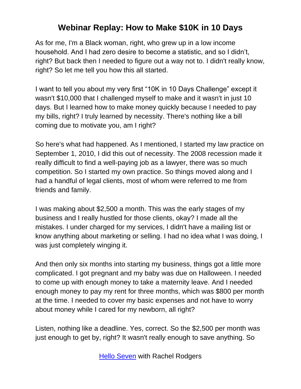As for me, I'm a Black woman, right, who grew up in a low income household. And I had zero desire to become a statistic, and so I didn't, right? But back then I needed to figure out a way not to. I didn't really know, right? So let me tell you how this all started.

I want to tell you about my very first "10K in 10 Days Challenge" except it wasn't \$10,000 that I challenged myself to make and it wasn't in just 10 days. But I learned how to make money quickly because I needed to pay my bills, right? I truly learned by necessity. There's nothing like a bill coming due to motivate you, am I right?

So here's what had happened. As I mentioned, I started my law practice on September 1, 2010, I did this out of necessity. The 2008 recession made it really difficult to find a well-paying job as a lawyer, there was so much competition. So I started my own practice. So things moved along and I had a handful of legal clients, most of whom were referred to me from friends and family.

I was making about \$2,500 a month. This was the early stages of my business and I really hustled for those clients, okay? I made all the mistakes. I under charged for my services, I didn't have a mailing list or know anything about marketing or selling. I had no idea what I was doing, I was just completely winging it.

And then only six months into starting my business, things got a little more complicated. I got pregnant and my baby was due on Halloween. I needed to come up with enough money to take a maternity leave. And I needed enough money to pay my rent for three months, which was \$800 per month at the time. I needed to cover my basic expenses and not have to worry about money while I cared for my newborn, all right?

Listen, nothing like a deadline. Yes, correct. So the \$2,500 per month was just enough to get by, right? It wasn't really enough to save anything. So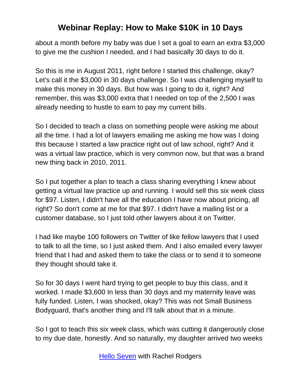about a month before my baby was due I set a goal to earn an extra \$3,000 to give me the cushion I needed, and I had basically 30 days to do it.

So this is me in August 2011, right before I started this challenge, okay? Let's call it the \$3,000 in 30 days challenge. So I was challenging myself to make this money in 30 days. But how was I going to do it, right? And remember, this was \$3,000 extra that I needed on top of the 2,500 I was already needing to hustle to earn to pay my current bills.

So I decided to teach a class on something people were asking me about all the time. I had a lot of lawyers emailing me asking me how was I doing this because I started a law practice right out of law school, right? And it was a virtual law practice, which is very common now, but that was a brand new thing back in 2010, 2011.

So I put together a plan to teach a class sharing everything I knew about getting a virtual law practice up and running. I would sell this six week class for \$97. Listen, I didn't have all the education I have now about pricing, all right? So don't come at me for that \$97. I didn't have a mailing list or a customer database, so I just told other lawyers about it on Twitter.

I had like maybe 100 followers on Twitter of like fellow lawyers that I used to talk to all the time, so I just asked them. And I also emailed every lawyer friend that I had and asked them to take the class or to send it to someone they thought should take it.

So for 30 days I went hard trying to get people to buy this class, and it worked. I made \$3,600 In less than 30 days and my maternity leave was fully funded. Listen, I was shocked, okay? This was not Small Business Bodyguard, that's another thing and I'll talk about that in a minute.

So I got to teach this six week class, which was cutting it dangerously close to my due date, honestly. And so naturally, my daughter arrived two weeks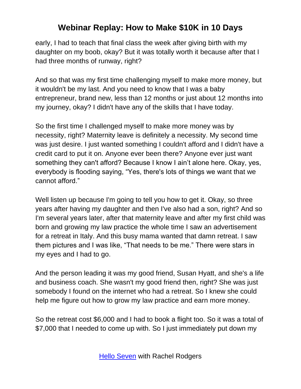early, I had to teach that final class the week after giving birth with my daughter on my boob, okay? But it was totally worth it because after that I had three months of runway, right?

And so that was my first time challenging myself to make more money, but it wouldn't be my last. And you need to know that I was a baby entrepreneur, brand new, less than 12 months or just about 12 months into my journey, okay? I didn't have any of the skills that I have today.

So the first time I challenged myself to make more money was by necessity, right? Maternity leave is definitely a necessity. My second time was just desire. I just wanted something I couldn't afford and I didn't have a credit card to put it on. Anyone ever been there? Anyone ever just want something they can't afford? Because I know I ain't alone here. Okay, yes, everybody is flooding saying, "Yes, there's lots of things we want that we cannot afford."

Well listen up because I'm going to tell you how to get it. Okay, so three years after having my daughter and then I've also had a son, right? And so I'm several years later, after that maternity leave and after my first child was born and growing my law practice the whole time I saw an advertisement for a retreat in Italy. And this busy mama wanted that damn retreat. I saw them pictures and I was like, "That needs to be me." There were stars in my eyes and I had to go.

And the person leading it was my good friend, Susan Hyatt, and she's a life and business coach. She wasn't my good friend then, right? She was just somebody I found on the internet who had a retreat. So I knew she could help me figure out how to grow my law practice and earn more money.

So the retreat cost \$6,000 and I had to book a flight too. So it was a total of \$7,000 that I needed to come up with. So I just immediately put down my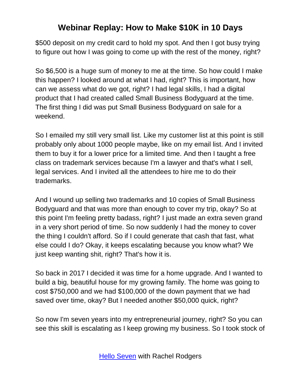\$500 deposit on my credit card to hold my spot. And then I got busy trying to figure out how I was going to come up with the rest of the money, right?

So \$6,500 is a huge sum of money to me at the time. So how could I make this happen? I looked around at what I had, right? This is important, how can we assess what do we got, right? I had legal skills, I had a digital product that I had created called Small Business Bodyguard at the time. The first thing I did was put Small Business Bodyguard on sale for a weekend.

So I emailed my still very small list. Like my customer list at this point is still probably only about 1000 people maybe, like on my email list. And I invited them to buy it for a lower price for a limited time. And then I taught a free class on trademark services because I'm a lawyer and that's what I sell, legal services. And I invited all the attendees to hire me to do their trademarks.

And I wound up selling two trademarks and 10 copies of Small Business Bodyguard and that was more than enough to cover my trip, okay? So at this point I'm feeling pretty badass, right? I just made an extra seven grand in a very short period of time. So now suddenly I had the money to cover the thing I couldn't afford. So if I could generate that cash that fast, what else could I do? Okay, it keeps escalating because you know what? We just keep wanting shit, right? That's how it is.

So back in 2017 I decided it was time for a home upgrade. And I wanted to build a big, beautiful house for my growing family. The home was going to cost \$750,000 and we had \$100,000 of the down payment that we had saved over time, okay? But I needed another \$50,000 quick, right?

So now I'm seven years into my entrepreneurial journey, right? So you can see this skill is escalating as I keep growing my business. So I took stock of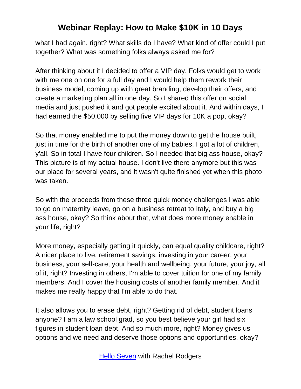what I had again, right? What skills do I have? What kind of offer could I put together? What was something folks always asked me for?

After thinking about it I decided to offer a VIP day. Folks would get to work with me one on one for a full day and I would help them rework their business model, coming up with great branding, develop their offers, and create a marketing plan all in one day. So I shared this offer on social media and just pushed it and got people excited about it. And within days, I had earned the \$50,000 by selling five VIP days for 10K a pop, okay?

So that money enabled me to put the money down to get the house built, just in time for the birth of another one of my babies. I got a lot of children, y'all. So in total I have four children. So I needed that big ass house, okay? This picture is of my actual house. I don't live there anymore but this was our place for several years, and it wasn't quite finished yet when this photo was taken.

So with the proceeds from these three quick money challenges I was able to go on maternity leave, go on a business retreat to Italy, and buy a big ass house, okay? So think about that, what does more money enable in your life, right?

More money, especially getting it quickly, can equal quality childcare, right? A nicer place to live, retirement savings, investing in your career, your business, your self-care, your health and wellbeing, your future, your joy, all of it, right? Investing in others, I'm able to cover tuition for one of my family members. And I cover the housing costs of another family member. And it makes me really happy that I'm able to do that.

It also allows you to erase debt, right? Getting rid of debt, student loans anyone? I am a law school grad, so you best believe your girl had six figures in student loan debt. And so much more, right? Money gives us options and we need and deserve those options and opportunities, okay?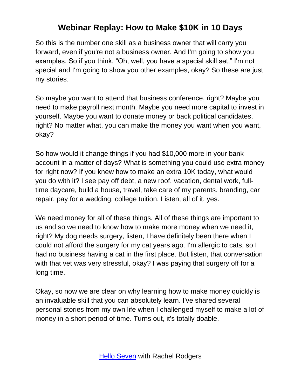So this is the number one skill as a business owner that will carry you forward, even if you're not a business owner. And I'm going to show you examples. So if you think, "Oh, well, you have a special skill set," I'm not special and I'm going to show you other examples, okay? So these are just my stories.

So maybe you want to attend that business conference, right? Maybe you need to make payroll next month. Maybe you need more capital to invest in yourself. Maybe you want to donate money or back political candidates, right? No matter what, you can make the money you want when you want, okay?

So how would it change things if you had \$10,000 more in your bank account in a matter of days? What is something you could use extra money for right now? If you knew how to make an extra 10K today, what would you do with it? I see pay off debt, a new roof, vacation, dental work, fulltime daycare, build a house, travel, take care of my parents, branding, car repair, pay for a wedding, college tuition. Listen, all of it, yes.

We need money for all of these things. All of these things are important to us and so we need to know how to make more money when we need it, right? My dog needs surgery, listen, I have definitely been there when I could not afford the surgery for my cat years ago. I'm allergic to cats, so I had no business having a cat in the first place. But listen, that conversation with that vet was very stressful, okay? I was paying that surgery off for a long time.

Okay, so now we are clear on why learning how to make money quickly is an invaluable skill that you can absolutely learn. I've shared several personal stories from my own life when I challenged myself to make a lot of money in a short period of time. Turns out, it's totally doable.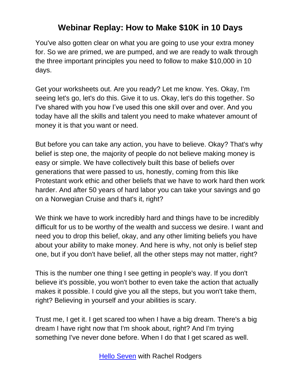You've also gotten clear on what you are going to use your extra money for. So we are primed, we are pumped, and we are ready to walk through the three important principles you need to follow to make \$10,000 in 10 days.

Get your worksheets out. Are you ready? Let me know. Yes. Okay, I'm seeing let's go, let's do this. Give it to us. Okay, let's do this together. So I've shared with you how I've used this one skill over and over. And you today have all the skills and talent you need to make whatever amount of money it is that you want or need.

But before you can take any action, you have to believe. Okay? That's why belief is step one, the majority of people do not believe making money is easy or simple. We have collectively built this base of beliefs over generations that were passed to us, honestly, coming from this like Protestant work ethic and other beliefs that we have to work hard then work harder. And after 50 years of hard labor you can take your savings and go on a Norwegian Cruise and that's it, right?

We think we have to work incredibly hard and things have to be incredibly difficult for us to be worthy of the wealth and success we desire. I want and need you to drop this belief, okay, and any other limiting beliefs you have about your ability to make money. And here is why, not only is belief step one, but if you don't have belief, all the other steps may not matter, right?

This is the number one thing I see getting in people's way. If you don't believe it's possible, you won't bother to even take the action that actually makes it possible. I could give you all the steps, but you won't take them, right? Believing in yourself and your abilities is scary.

Trust me, I get it. I get scared too when I have a big dream. There's a big dream I have right now that I'm shook about, right? And I'm trying something I've never done before. When I do that I get scared as well.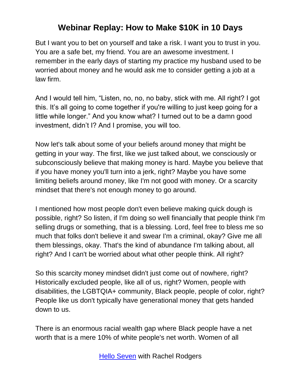But I want you to bet on yourself and take a risk. I want you to trust in you. You are a safe bet, my friend. You are an awesome investment. I remember in the early days of starting my practice my husband used to be worried about money and he would ask me to consider getting a job at a law firm.

And I would tell him, "Listen, no, no, no baby, stick with me. All right? I got this. It's all going to come together if you're willing to just keep going for a little while longer." And you know what? I turned out to be a damn good investment, didn't I? And I promise, you will too.

Now let's talk about some of your beliefs around money that might be getting in your way. The first, like we just talked about, we consciously or subconsciously believe that making money is hard. Maybe you believe that if you have money you'll turn into a jerk, right? Maybe you have some limiting beliefs around money, like I'm not good with money. Or a scarcity mindset that there's not enough money to go around.

I mentioned how most people don't even believe making quick dough is possible, right? So listen, if I'm doing so well financially that people think I'm selling drugs or something, that is a blessing. Lord, feel free to bless me so much that folks don't believe it and swear I'm a criminal, okay? Give me all them blessings, okay. That's the kind of abundance I'm talking about, all right? And I can't be worried about what other people think. All right?

So this scarcity money mindset didn't just come out of nowhere, right? Historically excluded people, like all of us, right? Women, people with disabilities, the LGBTQIA+ community, Black people, people of color, right? People like us don't typically have generational money that gets handed down to us.

There is an enormous racial wealth gap where Black people have a net worth that is a mere 10% of white people's net worth. Women of all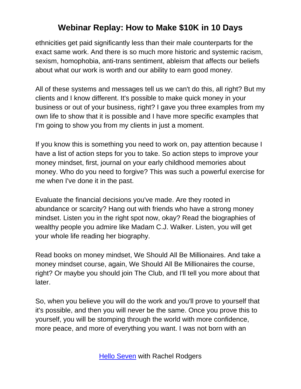ethnicities get paid significantly less than their male counterparts for the exact same work. And there is so much more historic and systemic racism, sexism, homophobia, anti-trans sentiment, ableism that affects our beliefs about what our work is worth and our ability to earn good money.

All of these systems and messages tell us we can't do this, all right? But my clients and I know different. It's possible to make quick money in your business or out of your business, right? I gave you three examples from my own life to show that it is possible and I have more specific examples that I'm going to show you from my clients in just a moment.

If you know this is something you need to work on, pay attention because I have a list of action steps for you to take. So action steps to improve your money mindset, first, journal on your early childhood memories about money. Who do you need to forgive? This was such a powerful exercise for me when I've done it in the past.

Evaluate the financial decisions you've made. Are they rooted in abundance or scarcity? Hang out with friends who have a strong money mindset. Listen you in the right spot now, okay? Read the biographies of wealthy people you admire like Madam C.J. Walker. Listen, you will get your whole life reading her biography.

Read books on money mindset, We Should All Be Millionaires. And take a money mindset course, again, We Should All Be Millionaires the course, right? Or maybe you should join The Club, and I'll tell you more about that later.

So, when you believe you will do the work and you'll prove to yourself that it's possible, and then you will never be the same. Once you prove this to yourself, you will be stomping through the world with more confidence, more peace, and more of everything you want. I was not born with an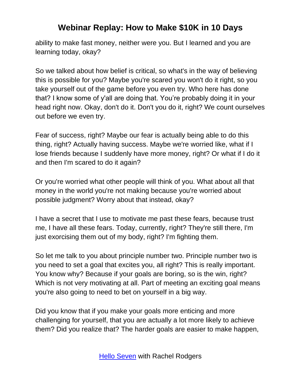ability to make fast money, neither were you. But I learned and you are learning today, okay?

So we talked about how belief is critical, so what's in the way of believing this is possible for you? Maybe you're scared you won't do it right, so you take yourself out of the game before you even try. Who here has done that? I know some of y'all are doing that. You're probably doing it in your head right now. Okay, don't do it. Don't you do it, right? We count ourselves out before we even try.

Fear of success, right? Maybe our fear is actually being able to do this thing, right? Actually having success. Maybe we're worried like, what if I lose friends because I suddenly have more money, right? Or what if I do it and then I'm scared to do it again?

Or you're worried what other people will think of you. What about all that money in the world you're not making because you're worried about possible judgment? Worry about that instead, okay?

I have a secret that I use to motivate me past these fears, because trust me, I have all these fears. Today, currently, right? They're still there, I'm just exorcising them out of my body, right? I'm fighting them.

So let me talk to you about principle number two. Principle number two is you need to set a goal that excites you, all right? This is really important. You know why? Because if your goals are boring, so is the win, right? Which is not very motivating at all. Part of meeting an exciting goal means you're also going to need to bet on yourself in a big way.

Did you know that if you make your goals more enticing and more challenging for yourself, that you are actually a lot more likely to achieve them? Did you realize that? The harder goals are easier to make happen,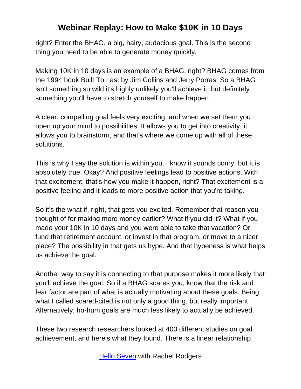right? Enter the BHAG, a big, hairy, audacious goal. This is the second thing you need to be able to generate money quickly.

Making 10K in 10 days is an example of a BHAG, right? BHAG comes from the 1994 book Built To Last by Jim Collins and Jerry Porras. So a BHAG isn't something so wild it's highly unlikely you'll achieve it, but definitely something you'll have to stretch yourself to make happen.

A clear, compelling goal feels very exciting, and when we set them you open up your mind to possibilities. It allows you to get into creativity, it allows you to brainstorm, and that's where we come up with all of these solutions.

This is why I say the solution is within you. I know it sounds corny, but it is absolutely true. Okay? And positive feelings lead to positive actions. With that excitement, that's how you make it happen, right? That excitement is a positive feeling and it leads to more positive action that you're taking.

So it's the what if, right, that gets you excited. Remember that reason you thought of for making more money earlier? What if you did it? What if you made your 10K in 10 days and you were able to take that vacation? Or fund that retirement account, or invest in that program, or move to a nicer place? The possibility in that gets us hype. And that hypeness is what helps us achieve the goal.

Another way to say it is connecting to that purpose makes it more likely that you'll achieve the goal. So if a BHAG scares you, know that the risk and fear factor are part of what is actually motivating about these goals. Being what I called scared-cited is not only a good thing, but really important. Alternatively, ho-hum goals are much less likely to actually be achieved.

These two research researchers looked at 400 different studies on goal achievement, and here's what they found. There is a linear relationship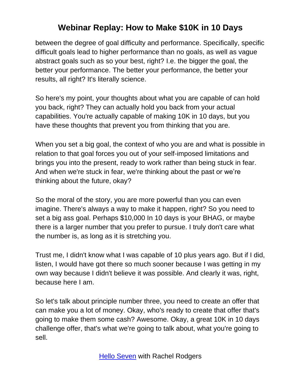between the degree of goal difficulty and performance. Specifically, specific difficult goals lead to higher performance than no goals, as well as vague abstract goals such as so your best, right? I.e. the bigger the goal, the better your performance. The better your performance, the better your results, all right? It's literally science.

So here's my point, your thoughts about what you are capable of can hold you back, right? They can actually hold you back from your actual capabilities. You're actually capable of making 10K in 10 days, but you have these thoughts that prevent you from thinking that you are.

When you set a big goal, the context of who you are and what is possible in relation to that goal forces you out of your self-imposed limitations and brings you into the present, ready to work rather than being stuck in fear. And when we're stuck in fear, we're thinking about the past or we're thinking about the future, okay?

So the moral of the story, you are more powerful than you can even imagine. There's always a way to make it happen, right? So you need to set a big ass goal. Perhaps \$10,000 In 10 days is your BHAG, or maybe there is a larger number that you prefer to pursue. I truly don't care what the number is, as long as it is stretching you.

Trust me, I didn't know what I was capable of 10 plus years ago. But if I did, listen, I would have got there so much sooner because I was getting in my own way because I didn't believe it was possible. And clearly it was, right, because here I am.

So let's talk about principle number three, you need to create an offer that can make you a lot of money. Okay, who's ready to create that offer that's going to make them some cash? Awesome. Okay, a great 10K in 10 days challenge offer, that's what we're going to talk about, what you're going to sell.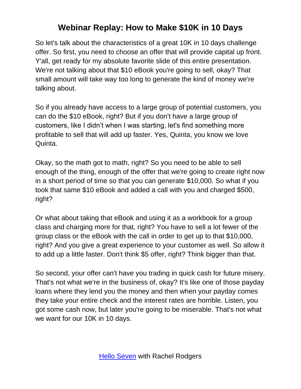So let's talk about the characteristics of a great 10K in 10 days challenge offer. So first, you need to choose an offer that will provide capital up front. Y'all, get ready for my absolute favorite slide of this entire presentation. We're not talking about that \$10 eBook you're going to sell, okay? That small amount will take way too long to generate the kind of money we're talking about.

So if you already have access to a large group of potential customers, you can do the \$10 eBook, right? But if you don't have a large group of customers, like I didn't when I was starting, let's find something more profitable to sell that will add up faster. Yes, Quinta, you know we love Quinta.

Okay, so the math got to math, right? So you need to be able to sell enough of the thing, enough of the offer that we're going to create right now in a short period of time so that you can generate \$10,000. So what if you took that same \$10 eBook and added a call with you and charged \$500, right?

Or what about taking that eBook and using it as a workbook for a group class and charging more for that, right? You have to sell a lot fewer of the group class or the eBook with the call in order to get up to that \$10,000, right? And you give a great experience to your customer as well. So allow it to add up a little faster. Don't think \$5 offer, right? Think bigger than that.

So second, your offer can't have you trading in quick cash for future misery. That's not what we're in the business of, okay? It's like one of those payday loans where they lend you the money and then when your payday comes they take your entire check and the interest rates are horrible. Listen, you got some cash now, but later you're going to be miserable. That's not what we want for our 10K in 10 days.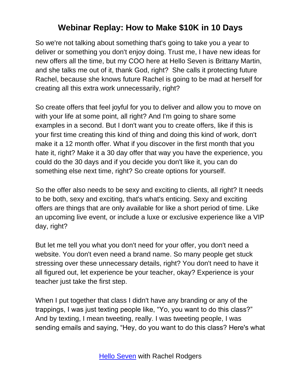So we're not talking about something that's going to take you a year to deliver or something you don't enjoy doing. Trust me, I have new ideas for new offers all the time, but my COO here at Hello Seven is Brittany Martin, and she talks me out of it, thank God, right? She calls it protecting future Rachel, because she knows future Rachel is going to be mad at herself for creating all this extra work unnecessarily, right?

So create offers that feel joyful for you to deliver and allow you to move on with your life at some point, all right? And I'm going to share some examples in a second. But I don't want you to create offers, like if this is your first time creating this kind of thing and doing this kind of work, don't make it a 12 month offer. What if you discover in the first month that you hate it, right? Make it a 30 day offer that way you have the experience, you could do the 30 days and if you decide you don't like it, you can do something else next time, right? So create options for yourself.

So the offer also needs to be sexy and exciting to clients, all right? It needs to be both, sexy and exciting, that's what's enticing. Sexy and exciting offers are things that are only available for like a short period of time. Like an upcoming live event, or include a luxe or exclusive experience like a VIP day, right?

But let me tell you what you don't need for your offer, you don't need a website. You don't even need a brand name. So many people get stuck stressing over these unnecessary details, right? You don't need to have it all figured out, let experience be your teacher, okay? Experience is your teacher just take the first step.

When I put together that class I didn't have any branding or any of the trappings, I was just texting people like, "Yo, you want to do this class?" And by texting, I mean tweeting, really. I was tweeting people, I was sending emails and saying, "Hey, do you want to do this class? Here's what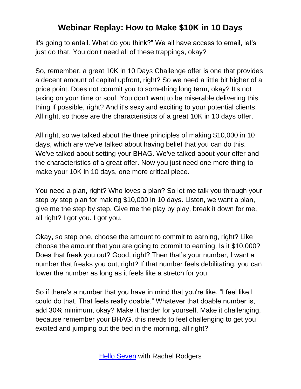it's going to entail. What do you think?" We all have access to email, let's just do that. You don't need all of these trappings, okay?

So, remember, a great 10K in 10 Days Challenge offer is one that provides a decent amount of capital upfront, right? So we need a little bit higher of a price point. Does not commit you to something long term, okay? It's not taxing on your time or soul. You don't want to be miserable delivering this thing if possible, right? And it's sexy and exciting to your potential clients. All right, so those are the characteristics of a great 10K in 10 days offer.

All right, so we talked about the three principles of making \$10,000 in 10 days, which are we've talked about having belief that you can do this. We've talked about setting your BHAG. We've talked about your offer and the characteristics of a great offer. Now you just need one more thing to make your 10K in 10 days, one more critical piece.

You need a plan, right? Who loves a plan? So let me talk you through your step by step plan for making \$10,000 in 10 days. Listen, we want a plan, give me the step by step. Give me the play by play, break it down for me, all right? I got you. I got you.

Okay, so step one, choose the amount to commit to earning, right? Like choose the amount that you are going to commit to earning. Is it \$10,000? Does that freak you out? Good, right? Then that's your number, I want a number that freaks you out, right? If that number feels debilitating, you can lower the number as long as it feels like a stretch for you.

So if there's a number that you have in mind that you're like, "I feel like I could do that. That feels really doable." Whatever that doable number is, add 30% minimum, okay? Make it harder for yourself. Make it challenging, because remember your BHAG, this needs to feel challenging to get you excited and jumping out the bed in the morning, all right?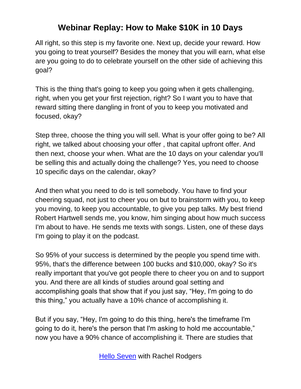All right, so this step is my favorite one. Next up, decide your reward. How you going to treat yourself? Besides the money that you will earn, what else are you going to do to celebrate yourself on the other side of achieving this goal?

This is the thing that's going to keep you going when it gets challenging, right, when you get your first rejection, right? So I want you to have that reward sitting there dangling in front of you to keep you motivated and focused, okay?

Step three, choose the thing you will sell. What is your offer going to be? All right, we talked about choosing your offer , that capital upfront offer. And then next, choose your when. What are the 10 days on your calendar you'll be selling this and actually doing the challenge? Yes, you need to choose 10 specific days on the calendar, okay?

And then what you need to do is tell somebody. You have to find your cheering squad, not just to cheer you on but to brainstorm with you, to keep you moving, to keep you accountable, to give you pep talks. My best friend Robert Hartwell sends me, you know, him singing about how much success I'm about to have. He sends me texts with songs. Listen, one of these days I'm going to play it on the podcast.

So 95% of your success is determined by the people you spend time with. 95%, that's the difference between 100 bucks and \$10,000, okay? So it's really important that you've got people there to cheer you on and to support you. And there are all kinds of studies around goal setting and accomplishing goals that show that if you just say, "Hey, I'm going to do this thing," you actually have a 10% chance of accomplishing it.

But if you say, "Hey, I'm going to do this thing, here's the timeframe I'm going to do it, here's the person that I'm asking to hold me accountable," now you have a 90% chance of accomplishing it. There are studies that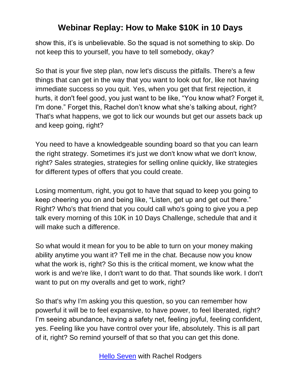show this, it's is unbelievable. So the squad is not something to skip. Do not keep this to yourself, you have to tell somebody, okay?

So that is your five step plan, now let's discuss the pitfalls. There's a few things that can get in the way that you want to look out for, like not having immediate success so you quit. Yes, when you get that first rejection, it hurts, it don't feel good, you just want to be like, "You know what? Forget it, I'm done." Forget this, Rachel don't know what she's talking about, right? That's what happens, we got to lick our wounds but get our assets back up and keep going, right?

You need to have a knowledgeable sounding board so that you can learn the right strategy. Sometimes it's just we don't know what we don't know, right? Sales strategies, strategies for selling online quickly, like strategies for different types of offers that you could create.

Losing momentum, right, you got to have that squad to keep you going to keep cheering you on and being like, "Listen, get up and get out there." Right? Who's that friend that you could call who's going to give you a pep talk every morning of this 10K in 10 Days Challenge, schedule that and it will make such a difference.

So what would it mean for you to be able to turn on your money making ability anytime you want it? Tell me in the chat. Because now you know what the work is, right? So this is the critical moment, we know what the work is and we're like, I don't want to do that. That sounds like work. I don't want to put on my overalls and get to work, right?

So that's why I'm asking you this question, so you can remember how powerful it will be to feel expansive, to have power, to feel liberated, right? I'm seeing abundance, having a safety net, feeling joyful, feeling confident, yes. Feeling like you have control over your life, absolutely. This is all part of it, right? So remind yourself of that so that you can get this done.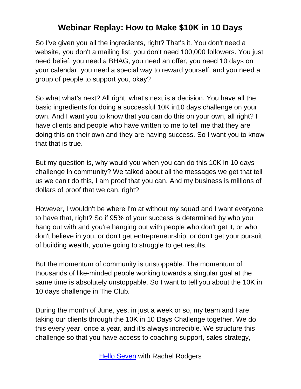So I've given you all the ingredients, right? That's it. You don't need a website, you don't a mailing list, you don't need 100,000 followers. You just need belief, you need a BHAG, you need an offer, you need 10 days on your calendar, you need a special way to reward yourself, and you need a group of people to support you, okay?

So what what's next? All right, what's next is a decision. You have all the basic ingredients for doing a successful 10K in10 days challenge on your own. And I want you to know that you can do this on your own, all right? I have clients and people who have written to me to tell me that they are doing this on their own and they are having success. So I want you to know that that is true.

But my question is, why would you when you can do this 10K in 10 days challenge in community? We talked about all the messages we get that tell us we can't do this, I am proof that you can. And my business is millions of dollars of proof that we can, right?

However, I wouldn't be where I'm at without my squad and I want everyone to have that, right? So if 95% of your success is determined by who you hang out with and you're hanging out with people who don't get it, or who don't believe in you, or don't get entrepreneurship, or don't get your pursuit of building wealth, you're going to struggle to get results.

But the momentum of community is unstoppable. The momentum of thousands of like-minded people working towards a singular goal at the same time is absolutely unstoppable. So I want to tell you about the 10K in 10 days challenge in The Club.

During the month of June, yes, in just a week or so, my team and I are taking our clients through the 10K in 10 Days Challenge together. We do this every year, once a year, and it's always incredible. We structure this challenge so that you have access to coaching support, sales strategy,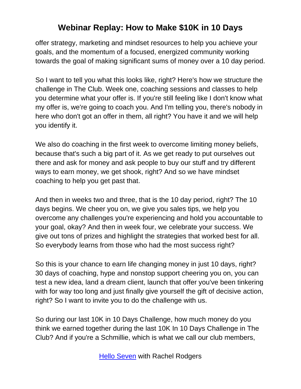offer strategy, marketing and mindset resources to help you achieve your goals, and the momentum of a focused, energized community working towards the goal of making significant sums of money over a 10 day period.

So I want to tell you what this looks like, right? Here's how we structure the challenge in The Club. Week one, coaching sessions and classes to help you determine what your offer is. If you're still feeling like I don't know what my offer is, we're going to coach you. And I'm telling you, there's nobody in here who don't got an offer in them, all right? You have it and we will help you identify it.

We also do coaching in the first week to overcome limiting money beliefs, because that's such a big part of it. As we get ready to put ourselves out there and ask for money and ask people to buy our stuff and try different ways to earn money, we get shook, right? And so we have mindset coaching to help you get past that.

And then in weeks two and three, that is the 10 day period, right? The 10 days begins. We cheer you on, we give you sales tips, we help you overcome any challenges you're experiencing and hold you accountable to your goal, okay? And then in week four, we celebrate your success. We give out tons of prizes and highlight the strategies that worked best for all. So everybody learns from those who had the most success right?

So this is your chance to earn life changing money in just 10 days, right? 30 days of coaching, hype and nonstop support cheering you on, you can test a new idea, land a dream client, launch that offer you've been tinkering with for way too long and just finally give yourself the gift of decisive action, right? So I want to invite you to do the challenge with us.

So during our last 10K in 10 Days Challenge, how much money do you think we earned together during the last 10K In 10 Days Challenge in The Club? And if you're a Schmillie, which is what we call our club members,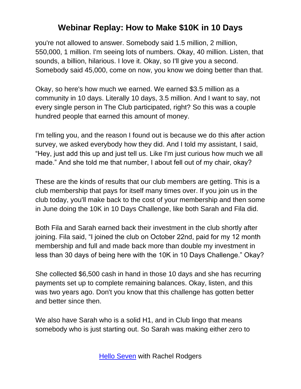you're not allowed to answer. Somebody said 1.5 million, 2 million, 550,000, 1 million. I'm seeing lots of numbers. Okay, 40 million. Listen, that sounds, a billion, hilarious. I love it. Okay, so I'll give you a second. Somebody said 45,000, come on now, you know we doing better than that.

Okay, so here's how much we earned. We earned \$3.5 million as a community in 10 days. Literally 10 days, 3.5 million. And I want to say, not every single person in The Club participated, right? So this was a couple hundred people that earned this amount of money.

I'm telling you, and the reason I found out is because we do this after action survey, we asked everybody how they did. And I told my assistant, I said, "Hey, just add this up and just tell us. Like I'm just curious how much we all made." And she told me that number, I about fell out of my chair, okay?

These are the kinds of results that our club members are getting. This is a club membership that pays for itself many times over. If you join us in the club today, you'll make back to the cost of your membership and then some in June doing the 10K in 10 Days Challenge, like both Sarah and Fila did.

Both Fila and Sarah earned back their investment in the club shortly after joining. Fila said, "I joined the club on October 22nd, paid for my 12 month membership and full and made back more than double my investment in less than 30 days of being here with the 10K in 10 Days Challenge." Okay?

She collected \$6,500 cash in hand in those 10 days and she has recurring payments set up to complete remaining balances. Okay, listen, and this was two years ago. Don't you know that this challenge has gotten better and better since then.

We also have Sarah who is a solid H1, and in Club lingo that means somebody who is just starting out. So Sarah was making either zero to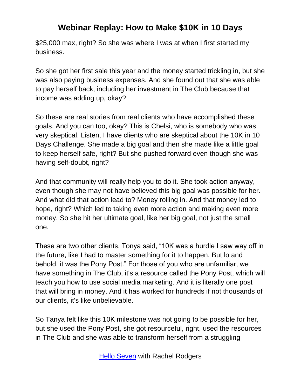\$25,000 max, right? So she was where I was at when I first started my business.

So she got her first sale this year and the money started trickling in, but she was also paying business expenses. And she found out that she was able to pay herself back, including her investment in The Club because that income was adding up, okay?

So these are real stories from real clients who have accomplished these goals. And you can too, okay? This is Chelsi, who is somebody who was very skeptical. Listen, I have clients who are skeptical about the 10K in 10 Days Challenge. She made a big goal and then she made like a little goal to keep herself safe, right? But she pushed forward even though she was having self-doubt, right?

And that community will really help you to do it. She took action anyway, even though she may not have believed this big goal was possible for her. And what did that action lead to? Money rolling in. And that money led to hope, right? Which led to taking even more action and making even more money. So she hit her ultimate goal, like her big goal, not just the small one.

These are two other clients. Tonya said, "10K was a hurdle I saw way off in the future, like I had to master something for it to happen. But lo and behold, it was the Pony Post." For those of you who are unfamiliar, we have something in The Club, it's a resource called the Pony Post, which will teach you how to use social media marketing. And it is literally one post that will bring in money. And it has worked for hundreds if not thousands of our clients, it's like unbelievable.

So Tanya felt like this 10K milestone was not going to be possible for her, but she used the Pony Post, she got resourceful, right, used the resources in The Club and she was able to transform herself from a struggling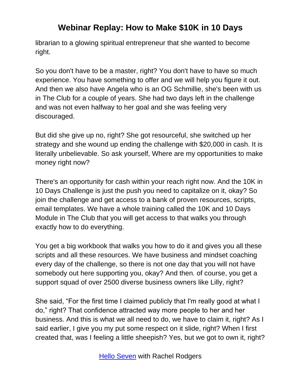librarian to a glowing spiritual entrepreneur that she wanted to become right.

So you don't have to be a master, right? You don't have to have so much experience. You have something to offer and we will help you figure it out. And then we also have Angela who is an OG Schmillie, she's been with us in The Club for a couple of years. She had two days left in the challenge and was not even halfway to her goal and she was feeling very discouraged.

But did she give up no, right? She got resourceful, she switched up her strategy and she wound up ending the challenge with \$20,000 in cash. It is literally unbelievable. So ask yourself, Where are my opportunities to make money right now?

There's an opportunity for cash within your reach right now. And the 10K in 10 Days Challenge is just the push you need to capitalize on it, okay? So join the challenge and get access to a bank of proven resources, scripts, email templates. We have a whole training called the 10K and 10 Days Module in The Club that you will get access to that walks you through exactly how to do everything.

You get a big workbook that walks you how to do it and gives you all these scripts and all these resources. We have business and mindset coaching every day of the challenge, so there is not one day that you will not have somebody out here supporting you, okay? And then. of course, you get a support squad of over 2500 diverse business owners like Lilly, right?

She said, "For the first time I claimed publicly that I'm really good at what I do," right? That confidence attracted way more people to her and her business. And this is what we all need to do, we have to claim it, right? As I said earlier, I give you my put some respect on it slide, right? When I first created that, was I feeling a little sheepish? Yes, but we got to own it, right?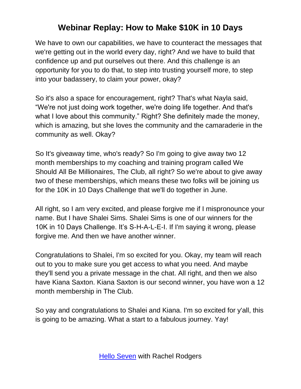We have to own our capabilities, we have to counteract the messages that we're getting out in the world every day, right? And we have to build that confidence up and put ourselves out there. And this challenge is an opportunity for you to do that, to step into trusting yourself more, to step into your badassery, to claim your power, okay?

So it's also a space for encouragement, right? That's what Nayla said, "We're not just doing work together, we're doing life together. And that's what I love about this community." Right? She definitely made the money, which is amazing, but she loves the community and the camaraderie in the community as well. Okay?

So It's giveaway time, who's ready? So I'm going to give away two 12 month memberships to my coaching and training program called We Should All Be Millionaires, The Club, all right? So we're about to give away two of these memberships, which means these two folks will be joining us for the 10K in 10 Days Challenge that we'll do together in June.

All right, so I am very excited, and please forgive me if I mispronounce your name. But I have Shalei Sims. Shalei Sims is one of our winners for the 10K in 10 Days Challenge. It's S-H-A-L-E-I. If I'm saying it wrong, please forgive me. And then we have another winner.

Congratulations to Shalei, I'm so excited for you. Okay, my team will reach out to you to make sure you get access to what you need. And maybe they'll send you a private message in the chat. All right, and then we also have Kiana Saxton. Kiana Saxton is our second winner, you have won a 12 month membership in The Club.

So yay and congratulations to Shalei and Kiana. I'm so excited for y'all, this is going to be amazing. What a start to a fabulous journey. Yay!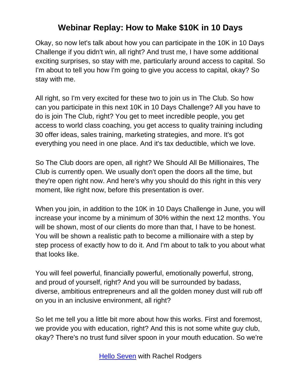Okay, so now let's talk about how you can participate in the 10K in 10 Days Challenge if you didn't win, all right? And trust me, I have some additional exciting surprises, so stay with me, particularly around access to capital. So I'm about to tell you how I'm going to give you access to capital, okay? So stay with me.

All right, so I'm very excited for these two to join us in The Club. So how can you participate in this next 10K in 10 Days Challenge? All you have to do is join The Club, right? You get to meet incredible people, you get access to world class coaching, you get access to quality training including 30 offer ideas, sales training, marketing strategies, and more. It's got everything you need in one place. And it's tax deductible, which we love.

So The Club doors are open, all right? We Should All Be Millionaires, The Club is currently open. We usually don't open the doors all the time, but they're open right now. And here's why you should do this right in this very moment, like right now, before this presentation is over.

When you join, in addition to the 10K in 10 Days Challenge in June, you will increase your income by a minimum of 30% within the next 12 months. You will be shown, most of our clients do more than that, I have to be honest. You will be shown a realistic path to become a millionaire with a step by step process of exactly how to do it. And I'm about to talk to you about what that looks like.

You will feel powerful, financially powerful, emotionally powerful, strong, and proud of yourself, right? And you will be surrounded by badass, diverse, ambitious entrepreneurs and all the golden money dust will rub off on you in an inclusive environment, all right?

So let me tell you a little bit more about how this works. First and foremost, we provide you with education, right? And this is not some white guy club, okay? There's no trust fund silver spoon in your mouth education. So we're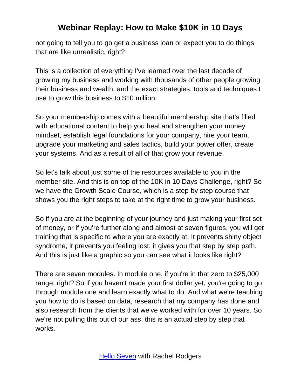not going to tell you to go get a business loan or expect you to do things that are like unrealistic, right?

This is a collection of everything I've learned over the last decade of growing my business and working with thousands of other people growing their business and wealth, and the exact strategies, tools and techniques I use to grow this business to \$10 million.

So your membership comes with a beautiful membership site that's filled with educational content to help you heal and strengthen your money mindset, establish legal foundations for your company, hire your team, upgrade your marketing and sales tactics, build your power offer, create your systems. And as a result of all of that grow your revenue.

So let's talk about just some of the resources available to you in the member site. And this is on top of the 10K in 10 Days Challenge, right? So we have the Growth Scale Course, which is a step by step course that shows you the right steps to take at the right time to grow your business.

So if you are at the beginning of your journey and just making your first set of money, or if you're further along and almost at seven figures, you will get training that is specific to where you are exactly at. It prevents shiny object syndrome, it prevents you feeling lost, it gives you that step by step path. And this is just like a graphic so you can see what it looks like right?

There are seven modules. In module one, if you're in that zero to \$25,000 range, right? So if you haven't made your first dollar yet, you're going to go through module one and learn exactly what to do. And what we're teaching you how to do is based on data, research that my company has done and also research from the clients that we've worked with for over 10 years. So we're not pulling this out of our ass, this is an actual step by step that works.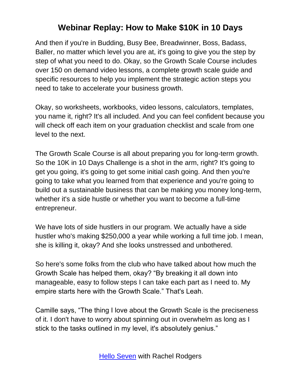And then if you're in Budding, Busy Bee, Breadwinner, Boss, Badass, Baller, no matter which level you are at, it's going to give you the step by step of what you need to do. Okay, so the Growth Scale Course includes over 150 on demand video lessons, a complete growth scale guide and specific resources to help you implement the strategic action steps you need to take to accelerate your business growth.

Okay, so worksheets, workbooks, video lessons, calculators, templates, you name it, right? It's all included. And you can feel confident because you will check off each item on your graduation checklist and scale from one level to the next.

The Growth Scale Course is all about preparing you for long-term growth. So the 10K in 10 Days Challenge is a shot in the arm, right? It's going to get you going, it's going to get some initial cash going. And then you're going to take what you learned from that experience and you're going to build out a sustainable business that can be making you money long-term, whether it's a side hustle or whether you want to become a full-time entrepreneur.

We have lots of side hustlers in our program. We actually have a side hustler who's making \$250,000 a year while working a full time job. I mean, she is killing it, okay? And she looks unstressed and unbothered.

So here's some folks from the club who have talked about how much the Growth Scale has helped them, okay? "By breaking it all down into manageable, easy to follow steps I can take each part as I need to. My empire starts here with the Growth Scale." That's Leah.

Camille says, "The thing I love about the Growth Scale is the preciseness of it. I don't have to worry about spinning out in overwhelm as long as I stick to the tasks outlined in my level, it's absolutely genius."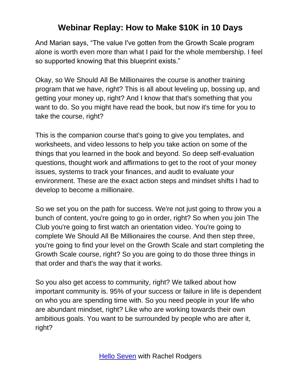And Marian says, "The value I've gotten from the Growth Scale program alone is worth even more than what I paid for the whole membership. I feel so supported knowing that this blueprint exists."

Okay, so We Should All Be Millionaires the course is another training program that we have, right? This is all about leveling up, bossing up, and getting your money up, right? And I know that that's something that you want to do. So you might have read the book, but now it's time for you to take the course, right?

This is the companion course that's going to give you templates, and worksheets, and video lessons to help you take action on some of the things that you learned in the book and beyond. So deep self-evaluation questions, thought work and affirmations to get to the root of your money issues, systems to track your finances, and audit to evaluate your environment. These are the exact action steps and mindset shifts I had to develop to become a millionaire.

So we set you on the path for success. We're not just going to throw you a bunch of content, you're going to go in order, right? So when you join The Club you're going to first watch an orientation video. You're going to complete We Should All Be Millionaires the course. And then step three, you're going to find your level on the Growth Scale and start completing the Growth Scale course, right? So you are going to do those three things in that order and that's the way that it works.

So you also get access to community, right? We talked about how important community is. 95% of your success or failure in life is dependent on who you are spending time with. So you need people in your life who are abundant mindset, right? Like who are working towards their own ambitious goals. You want to be surrounded by people who are after it, right?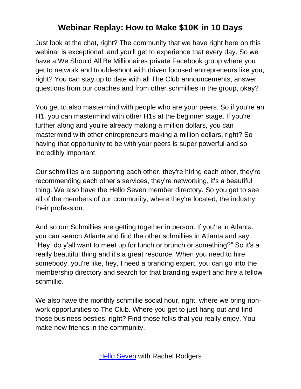Just look at the chat, right? The community that we have right here on this webinar is exceptional, and you'll get to experience that every day. So we have a We Should All Be Millionaires private Facebook group where you get to network and troubleshoot with driven focused entrepreneurs like you, right? You can stay up to date with all The Club announcements, answer questions from our coaches and from other schmillies in the group, okay?

You get to also mastermind with people who are your peers. So if you're an H1, you can mastermind with other H1s at the beginner stage. If you're further along and you're already making a million dollars, you can mastermind with other entrepreneurs making a million dollars, right? So having that opportunity to be with your peers is super powerful and so incredibly important.

Our schmillies are supporting each other, they're hiring each other, they're recommending each other's services, they're networking, it's a beautiful thing. We also have the Hello Seven member directory. So you get to see all of the members of our community, where they're located, the industry, their profession.

And so our Schmillies are getting together in person. If you're in Atlanta, you can search Atlanta and find the other schmillies in Atlanta and say, "Hey, do y'all want to meet up for lunch or brunch or something?" So it's a really beautiful thing and it's a great resource. When you need to hire somebody, you're like, hey, I need a branding expert, you can go into the membership directory and search for that branding expert and hire a fellow schmillie.

We also have the monthly schmillie social hour, right, where we bring nonwork opportunities to The Club. Where you get to just hang out and find those business besties, right? Find those folks that you really enjoy. You make new friends in the community.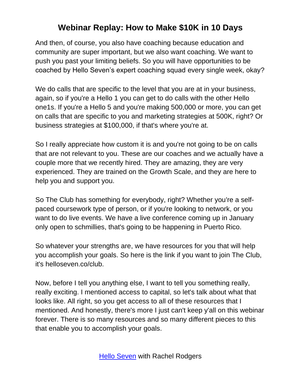And then, of course, you also have coaching because education and community are super important, but we also want coaching. We want to push you past your limiting beliefs. So you will have opportunities to be coached by Hello Seven's expert coaching squad every single week, okay?

We do calls that are specific to the level that you are at in your business, again, so if you're a Hello 1 you can get to do calls with the other Hello one1s. If you're a Hello 5 and you're making 500,000 or more, you can get on calls that are specific to you and marketing strategies at 500K, right? Or business strategies at \$100,000, if that's where you're at.

So I really appreciate how custom it is and you're not going to be on calls that are not relevant to you. These are our coaches and we actually have a couple more that we recently hired. They are amazing, they are very experienced. They are trained on the Growth Scale, and they are here to help you and support you.

So The Club has something for everybody, right? Whether you're a selfpaced coursework type of person, or if you're looking to network, or you want to do live events. We have a live conference coming up in January only open to schmillies, that's going to be happening in Puerto Rico.

So whatever your strengths are, we have resources for you that will help you accomplish your goals. So here is the link if you want to join The Club, it's helloseven.co/club.

Now, before I tell you anything else, I want to tell you something really, really exciting. I mentioned access to capital, so let's talk about what that looks like. All right, so you get access to all of these resources that I mentioned. And honestly, there's more I just can't keep y'all on this webinar forever. There is so many resources and so many different pieces to this that enable you to accomplish your goals.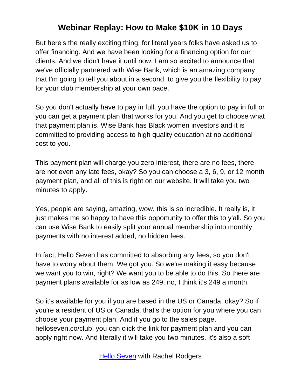But here's the really exciting thing, for literal years folks have asked us to offer financing. And we have been looking for a financing option for our clients. And we didn't have it until now. I am so excited to announce that we've officially partnered with Wise Bank, which is an amazing company that I'm going to tell you about in a second, to give you the flexibility to pay for your club membership at your own pace.

So you don't actually have to pay in full, you have the option to pay in full or you can get a payment plan that works for you. And you get to choose what that payment plan is. Wise Bank has Black women investors and it is committed to providing access to high quality education at no additional cost to you.

This payment plan will charge you zero interest, there are no fees, there are not even any late fees, okay? So you can choose a 3, 6, 9, or 12 month payment plan, and all of this is right on our website. It will take you two minutes to apply.

Yes, people are saying, amazing, wow, this is so incredible. It really is, it just makes me so happy to have this opportunity to offer this to y'all. So you can use Wise Bank to easily split your annual membership into monthly payments with no interest added, no hidden fees.

In fact, Hello Seven has committed to absorbing any fees, so you don't have to worry about them. We got you. So we're making it easy because we want you to win, right? We want you to be able to do this. So there are payment plans available for as low as 249, no, I think it's 249 a month.

So it's available for you if you are based in the US or Canada, okay? So if you're a resident of US or Canada, that's the option for you where you can choose your payment plan. And if you go to the sales page, helloseven.co/club, you can click the link for payment plan and you can apply right now. And literally it will take you two minutes. It's also a soft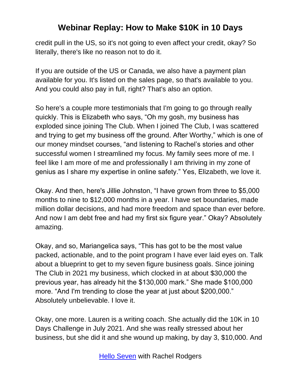credit pull in the US, so it's not going to even affect your credit, okay? So literally, there's like no reason not to do it.

If you are outside of the US or Canada, we also have a payment plan available for you. It's listed on the sales page, so that's available to you. And you could also pay in full, right? That's also an option.

So here's a couple more testimonials that I'm going to go through really quickly. This is Elizabeth who says, "Oh my gosh, my business has exploded since joining The Club. When I joined The Club, I was scattered and trying to get my business off the ground. After Worthy," which is one of our money mindset courses, "and listening to Rachel's stories and other successful women I streamlined my focus. My family sees more of me. I feel like I am more of me and professionally I am thriving in my zone of genius as I share my expertise in online safety." Yes, Elizabeth, we love it.

Okay. And then, here's Jillie Johnston, "I have grown from three to \$5,000 months to nine to \$12,000 months in a year. I have set boundaries, made million dollar decisions, and had more freedom and space than ever before. And now I am debt free and had my first six figure year." Okay? Absolutely amazing.

Okay, and so, Mariangelica says, "This has got to be the most value packed, actionable, and to the point program I have ever laid eyes on. Talk about a blueprint to get to my seven figure business goals. Since joining The Club in 2021 my business, which clocked in at about \$30,000 the previous year, has already hit the \$130,000 mark." She made \$100,000 more. "And I'm trending to close the year at just about \$200,000." Absolutely unbelievable. I love it.

Okay, one more. Lauren is a writing coach. She actually did the 10K in 10 Days Challenge in July 2021. And she was really stressed about her business, but she did it and she wound up making, by day 3, \$10,000. And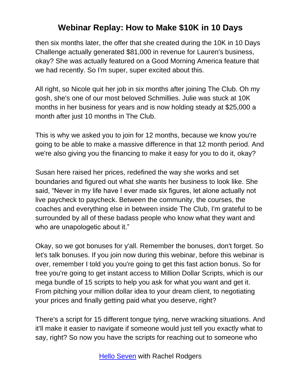then six months later, the offer that she created during the 10K in 10 Days Challenge actually generated \$81,000 in revenue for Lauren's business, okay? She was actually featured on a Good Morning America feature that we had recently. So I'm super, super excited about this.

All right, so Nicole quit her job in six months after joining The Club. Oh my gosh, she's one of our most beloved Schmillies. Julie was stuck at 10K months in her business for years and is now holding steady at \$25,000 a month after just 10 months in The Club.

This is why we asked you to join for 12 months, because we know you're going to be able to make a massive difference in that 12 month period. And we're also giving you the financing to make it easy for you to do it, okay?

Susan here raised her prices, redefined the way she works and set boundaries and figured out what she wants her business to look like. She said, "Never in my life have I ever made six figures, let alone actually not live paycheck to paycheck. Between the community, the courses, the coaches and everything else in between inside The Club, I'm grateful to be surrounded by all of these badass people who know what they want and who are unapologetic about it."

Okay, so we got bonuses for y'all. Remember the bonuses, don't forget. So let's talk bonuses. If you join now during this webinar, before this webinar is over, remember I told you you're going to get this fast action bonus. So for free you're going to get instant access to Million Dollar Scripts, which is our mega bundle of 15 scripts to help you ask for what you want and get it. From pitching your million dollar idea to your dream client, to negotiating your prices and finally getting paid what you deserve, right?

There's a script for 15 different tongue tying, nerve wracking situations. And it'll make it easier to navigate if someone would just tell you exactly what to say, right? So now you have the scripts for reaching out to someone who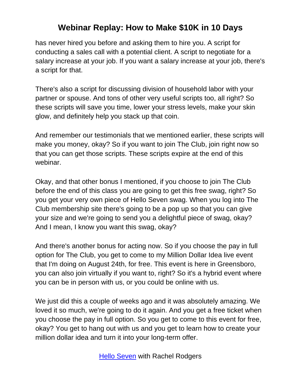has never hired you before and asking them to hire you. A script for conducting a sales call with a potential client. A script to negotiate for a salary increase at your job. If you want a salary increase at your job, there's a script for that.

There's also a script for discussing division of household labor with your partner or spouse. And tons of other very useful scripts too, all right? So these scripts will save you time, lower your stress levels, make your skin glow, and definitely help you stack up that coin.

And remember our testimonials that we mentioned earlier, these scripts will make you money, okay? So if you want to join The Club, join right now so that you can get those scripts. These scripts expire at the end of this webinar.

Okay, and that other bonus I mentioned, if you choose to join The Club before the end of this class you are going to get this free swag, right? So you get your very own piece of Hello Seven swag. When you log into The Club membership site there's going to be a pop up so that you can give your size and we're going to send you a delightful piece of swag, okay? And I mean, I know you want this swag, okay?

And there's another bonus for acting now. So if you choose the pay in full option for The Club, you get to come to my Million Dollar Idea live event that I'm doing on August 24th, for free. This event is here in Greensboro, you can also join virtually if you want to, right? So it's a hybrid event where you can be in person with us, or you could be online with us.

We just did this a couple of weeks ago and it was absolutely amazing. We loved it so much, we're going to do it again. And you get a free ticket when you choose the pay in full option. So you get to come to this event for free, okay? You get to hang out with us and you get to learn how to create your million dollar idea and turn it into your long-term offer.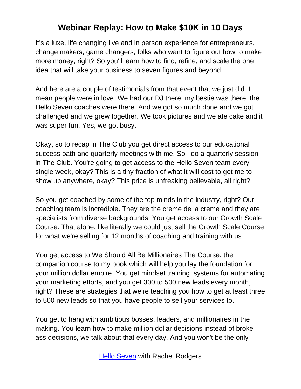It's a luxe, life changing live and in person experience for entrepreneurs, change makers, game changers, folks who want to figure out how to make more money, right? So you'll learn how to find, refine, and scale the one idea that will take your business to seven figures and beyond.

And here are a couple of testimonials from that event that we just did. I mean people were in love. We had our DJ there, my bestie was there, the Hello Seven coaches were there. And we got so much done and we got challenged and we grew together. We took pictures and we ate cake and it was super fun. Yes, we got busy.

Okay, so to recap in The Club you get direct access to our educational success path and quarterly meetings with me. So I do a quarterly session in The Club. You're going to get access to the Hello Seven team every single week, okay? This is a tiny fraction of what it will cost to get me to show up anywhere, okay? This price is unfreaking believable, all right?

So you get coached by some of the top minds in the industry, right? Our coaching team is incredible. They are the creme de la creme and they are specialists from diverse backgrounds. You get access to our Growth Scale Course. That alone, like literally we could just sell the Growth Scale Course for what we're selling for 12 months of coaching and training with us.

You get access to We Should All Be Millionaires The Course, the companion course to my book which will help you lay the foundation for your million dollar empire. You get mindset training, systems for automating your marketing efforts, and you get 300 to 500 new leads every month, right? These are strategies that we're teaching you how to get at least three to 500 new leads so that you have people to sell your services to.

You get to hang with ambitious bosses, leaders, and millionaires in the making. You learn how to make million dollar decisions instead of broke ass decisions, we talk about that every day. And you won't be the only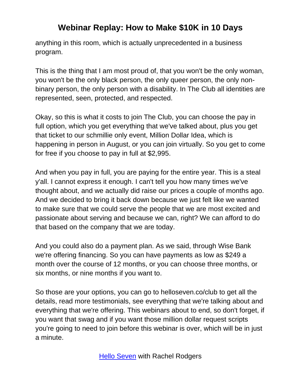anything in this room, which is actually unprecedented in a business program.

This is the thing that I am most proud of, that you won't be the only woman, you won't be the only black person, the only queer person, the only nonbinary person, the only person with a disability. In The Club all identities are represented, seen, protected, and respected.

Okay, so this is what it costs to join The Club, you can choose the pay in full option, which you get everything that we've talked about, plus you get that ticket to our schmillie only event, Million Dollar Idea, which is happening in person in August, or you can join virtually. So you get to come for free if you choose to pay in full at \$2,995.

And when you pay in full, you are paying for the entire year. This is a steal y'all. I cannot express it enough. I can't tell you how many times we've thought about, and we actually did raise our prices a couple of months ago. And we decided to bring it back down because we just felt like we wanted to make sure that we could serve the people that we are most excited and passionate about serving and because we can, right? We can afford to do that based on the company that we are today.

And you could also do a payment plan. As we said, through Wise Bank we're offering financing. So you can have payments as low as \$249 a month over the course of 12 months, or you can choose three months, or six months, or nine months if you want to.

So those are your options, you can go to helloseven.co/club to get all the details, read more testimonials, see everything that we're talking about and everything that we're offering. This webinars about to end, so don't forget, if you want that swag and if you want those million dollar request scripts you're going to need to join before this webinar is over, which will be in just a minute.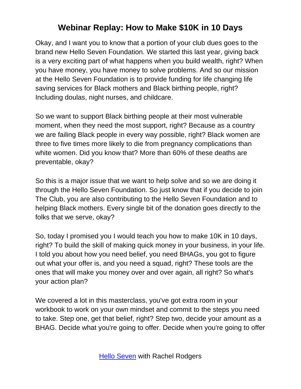Okay, and I want you to know that a portion of your club dues goes to the brand new Hello Seven Foundation. We started this last year, giving back is a very exciting part of what happens when you build wealth, right? When you have money, you have money to solve problems. And so our mission at the Hello Seven Foundation is to provide funding for life changing life saving services for Black mothers and Black birthing people, right? Including doulas, night nurses, and childcare.

So we want to support Black birthing people at their most vulnerable moment, when they need the most support, right? Because as a country we are failing Black people in every way possible, right? Black women are three to five times more likely to die from pregnancy complications than white women. Did you know that? More than 60% of these deaths are preventable, okay?

So this is a major issue that we want to help solve and so we are doing it through the Hello Seven Foundation. So just know that if you decide to join The Club, you are also contributing to the Hello Seven Foundation and to helping Black mothers. Every single bit of the donation goes directly to the folks that we serve, okay?

So, today I promised you I would teach you how to make 10K in 10 days, right? To build the skill of making quick money in your business, in your life. I told you about how you need belief, you need BHAGs, you got to figure out what your offer is, and you need a squad, right? These tools are the ones that will make you money over and over again, all right? So what's your action plan?

We covered a lot in this masterclass, you've got extra room in your workbook to work on your own mindset and commit to the steps you need to take. Step one, get that belief, right? Step two, decide your amount as a BHAG. Decide what you're going to offer. Decide when you're going to offer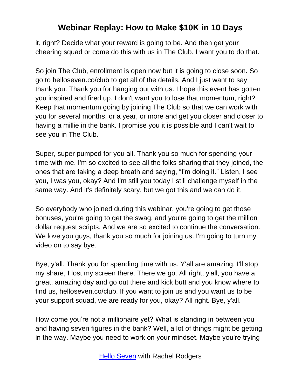it, right? Decide what your reward is going to be. And then get your cheering squad or come do this with us in The Club. I want you to do that.

So join The Club, enrollment is open now but it is going to close soon. So go to helloseven.co/club to get all of the details. And I just want to say thank you. Thank you for hanging out with us. I hope this event has gotten you inspired and fired up. I don't want you to lose that momentum, right? Keep that momentum going by joining The Club so that we can work with you for several months, or a year, or more and get you closer and closer to having a millie in the bank. I promise you it is possible and I can't wait to see you in The Club.

Super, super pumped for you all. Thank you so much for spending your time with me. I'm so excited to see all the folks sharing that they joined, the ones that are taking a deep breath and saying, "I'm doing it." Listen, I see you, I was you, okay? And I'm still you today I still challenge myself in the same way. And it's definitely scary, but we got this and we can do it.

So everybody who joined during this webinar, you're going to get those bonuses, you're going to get the swag, and you're going to get the million dollar request scripts. And we are so excited to continue the conversation. We love you guys, thank you so much for joining us. I'm going to turn my video on to say bye.

Bye, y'all. Thank you for spending time with us. Y'all are amazing. I'll stop my share, I lost my screen there. There we go. All right, y'all, you have a great, amazing day and go out there and kick butt and you know where to find us, helloseven.co/club. If you want to join us and you want us to be your support squad, we are ready for you, okay? All right. Bye, y'all.

How come you're not a millionaire yet? What is standing in between you and having seven figures in the bank? Well, a lot of things might be getting in the way. Maybe you need to work on your mindset. Maybe you're trying